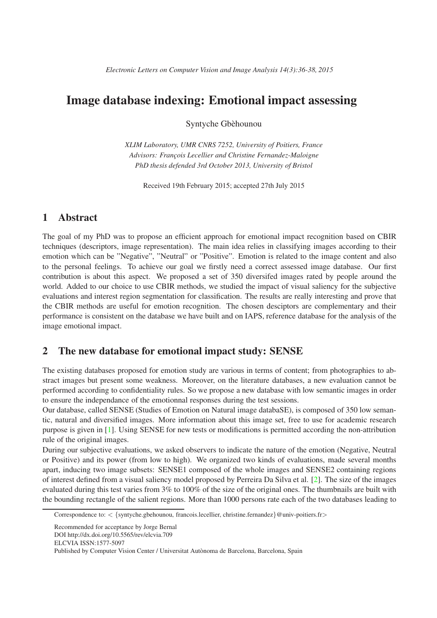# Image database indexing: Emotional impact assessing

Syntyche Gbèhounou

*XLIM Laboratory, UMR CNRS 7252, University of Poitiers, France Advisors: Franc¸ois Lecellier and Christine Fernandez-Maloigne PhD thesis defended 3rd October 2013, University of Bristol*

Received 19th February 2015; accepted 27th July 2015

### 1 Abstract

The goal of my PhD was to propose an efficient approach for emotional impact recognition based on CBIR techniques (descriptors, image representation). The main idea relies in classifying images according to their emotion which can be "Negative", "Neutral" or "Positive". Emotion is related to the image content and also to the personal feelings. To achieve our goal we firstly need a correct assessed image database. Our first contribution is about this aspect. We proposed a set of 350 diversifed images rated by people around the world. Added to our choice to use CBIR methods, we studied the impact of visual saliency for the subjective evaluations and interest region segmentation for classification. The results are really interesting and prove that the CBIR methods are useful for emotion recognition. The chosen desciptors are complementary and their performance is consistent on the database we have built and on IAPS, reference database for the analysis of the image emotional impact.

## 2 The new database for emotional impact study: SENSE

The existing databases proposed for emotion study are various in terms of content; from photographies to abstract images but present some weakness. Moreover, on the literature databases, a new evaluation cannot be performed according to confidentiality rules. So we propose a new database with low semantic images in order to ensure the independance of the emotionnal responses during the test sessions.

Our database, called SENSE (Studies of Emotion on Natural image databaSE), is composed of 350 low semantic, natural and diversified images. More information about this image set, free to use for academic research purpose is given in [\[1\]](#page-2-0). Using SENSE for new tests or modifications is permitted according the non-attribution rule of the original images.

During our subjective evaluations, we asked observers to indicate the nature of the emotion (Negative, Neutral or Positive) and its power (from low to high). We organized two kinds of evaluations, made several months apart, inducing two image subsets: SENSE1 composed of the whole images and SENSE2 containing regions of interest defined from a visual saliency model proposed by Perreira Da Silva et al. [\[2\]](#page-2-1). The size of the images evaluated during this test varies from 3% to 100% of the size of the original ones. The thumbnails are built with the bounding rectangle of the salient regions. More than 1000 persons rate each of the two databases leading to

Recommended for acceptance by Jorge Bernal

ELCVIA ISSN:1577-5097

Correspondence to:  $\langle \{\text{syntyche.gbehounou, francois.} \}$  [explicitle fernandez  $\otimes$  univ-poitiers.fr>

DOI http://dx.doi.org/10.5565/rev/elcvia.709

Published by Computer Vision Center / Universitat Autònoma de Barcelona, Barcelona, Spain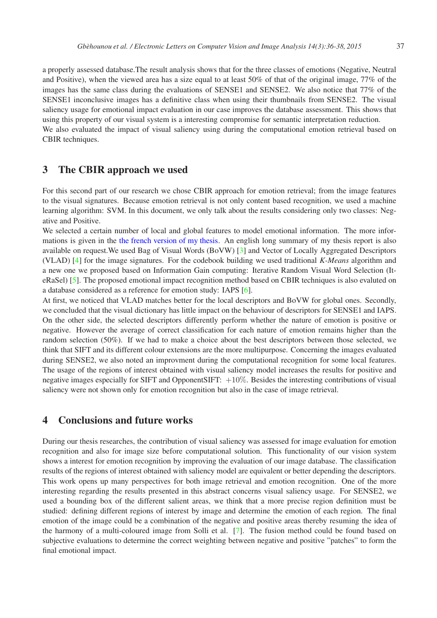a properly assessed database.The result analysis shows that for the three classes of emotions (Negative, Neutral and Positive), when the viewed area has a size equal to at least 50% of that of the original image, 77% of the images has the same class during the evaluations of SENSE1 and SENSE2. We also notice that 77% of the SENSE1 inconclusive images has a definitive class when using their thumbnails from SENSE2. The visual saliency usage for emotional impact evaluation in our case improves the database assessment. This shows that using this property of our visual system is a interesting compromise for semantic interpretation reduction. We also evaluated the impact of visual saliency using during the computational emotion retrieval based on CBIR techniques.

#### 3 The CBIR approach we used

For this second part of our research we chose CBIR approach for emotion retrieval; from the image features to the visual signatures. Because emotion retrieval is not only content based recognition, we used a machine learning algorithm: SVM. In this document, we only talk about the results considering only two classes: Negative and Positive.

We selected a certain number of local and global features to model emotional information. The more informations is given in the [the french version of my thesis.](https://hal.archives-ouvertes.fr/tel-01089308/document) An english long summary of my thesis report is also available on request.We used Bag of Visual Words (BoVW) [\[3\]](#page-2-2) and Vector of Locally Aggregated Descriptors (VLAD) [\[4\]](#page-2-3) for the image signatures. For the codebook building we used traditional *K-Means* algorithm and a new one we proposed based on Information Gain computing: Iterative Random Visual Word Selection (IteRaSel) [\[5\]](#page-2-4). The proposed emotional impact recognition method based on CBIR techniques is also evaluted on a database considered as a reference for emotion study: IAPS [\[6\]](#page-2-5).

At first, we noticed that VLAD matches better for the local descriptors and BoVW for global ones. Secondly, we concluded that the visual dictionary has little impact on the behaviour of descriptors for SENSE1 and IAPS. On the other side, the selected descriptors differently perform whether the nature of emotion is positive or negative. However the average of correct classification for each nature of emotion remains higher than the random selection (50%). If we had to make a choice about the best descriptors between those selected, we think that SIFT and its different colour extensions are the more multipurpose. Concerning the images evaluated during SENSE2, we also noted an improvment during the computational recognition for some local features. The usage of the regions of interest obtained with visual saliency model increases the results for positive and negative images especially for SIFT and OpponentSIFT:  $+10\%$ . Besides the interesting contributions of visual saliency were not shown only for emotion recognition but also in the case of image retrieval.

#### 4 Conclusions and future works

During our thesis researches, the contribution of visual saliency was assessed for image evaluation for emotion recognition and also for image size before computational solution. This functionality of our vision system shows a interest for emotion recognition by improving the evaluation of our image database. The classification results of the regions of interest obtained with saliency model are equivalent or better depending the descriptors. This work opens up many perspectives for both image retrieval and emotion recognition. One of the more interesting regarding the results presented in this abstract concerns visual saliency usage. For SENSE2, we used a bounding box of the different salient areas, we think that a more precise region definition must be studied: defining different regions of interest by image and determine the emotion of each region. The final emotion of the image could be a combination of the negative and positive areas thereby resuming the idea of the harmony of a multi-coloured image from Solli et al. [\[7\]](#page-2-6). The fusion method could be found based on subjective evaluations to determine the correct weighting between negative and positive "patches" to form the final emotional impact.